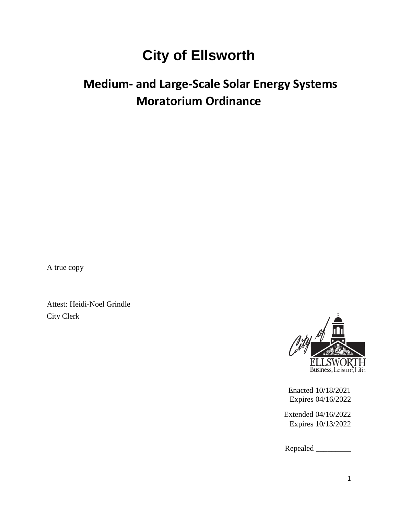## **City of Ellsworth**

## **Medium- and Large-Scale Solar Energy Systems Moratorium Ordinance**

A true copy –

Attest: Heidi-Noel Grindle City Clerk



Enacted 10/18/2021 Expires 04/16/2022

Extended 04/16/2022 Expires 10/13/2022

Repealed \_\_\_\_\_\_\_\_\_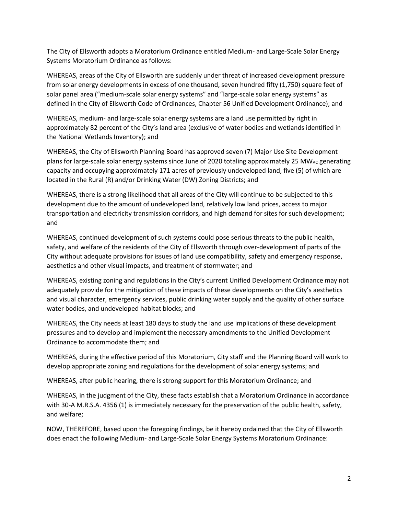The City of Ellsworth adopts a Moratorium Ordinance entitled Medium- and Large-Scale Solar Energy Systems Moratorium Ordinance as follows:

WHEREAS, areas of the City of Ellsworth are suddenly under threat of increased development pressure from solar energy developments in excess of one thousand, seven hundred fifty (1,750) square feet of solar panel area ("medium-scale solar energy systems" and "large-scale solar energy systems" as defined in the City of Ellsworth Code of Ordinances, Chapter 56 Unified Development Ordinance); and

WHEREAS, medium- and large-scale solar energy systems are a land use permitted by right in approximately 82 percent of the City's land area (exclusive of water bodies and wetlands identified in the National Wetlands Inventory); and

WHEREAS, the City of Ellsworth Planning Board has approved seven (7) Major Use Site Development plans for large-scale solar energy systems since June of 2020 totaling approximately 25 MW<sub>AC</sub> generating capacity and occupying approximately 171 acres of previously undeveloped land, five (5) of which are located in the Rural (R) and/or Drinking Water (DW) Zoning Districts; and

WHEREAS, there is a strong likelihood that all areas of the City will continue to be subjected to this development due to the amount of undeveloped land, relatively low land prices, access to major transportation and electricity transmission corridors, and high demand for sites for such development; and

WHEREAS, continued development of such systems could pose serious threats to the public health, safety, and welfare of the residents of the City of Ellsworth through over-development of parts of the City without adequate provisions for issues of land use compatibility, safety and emergency response, aesthetics and other visual impacts, and treatment of stormwater; and

WHEREAS, existing zoning and regulations in the City's current Unified Development Ordinance may not adequately provide for the mitigation of these impacts of these developments on the City's aesthetics and visual character, emergency services, public drinking water supply and the quality of other surface water bodies, and undeveloped habitat blocks; and

WHEREAS, the City needs at least 180 days to study the land use implications of these development pressures and to develop and implement the necessary amendments to the Unified Development Ordinance to accommodate them; and

WHEREAS, during the effective period of this Moratorium, City staff and the Planning Board will work to develop appropriate zoning and regulations for the development of solar energy systems; and

WHEREAS, after public hearing, there is strong support for this Moratorium Ordinance; and

WHEREAS, in the judgment of the City, these facts establish that a Moratorium Ordinance in accordance with 30-A M.R.S.A. 4356 (1) is immediately necessary for the preservation of the public health, safety, and welfare;

NOW, THEREFORE, based upon the foregoing findings, be it hereby ordained that the City of Ellsworth does enact the following Medium- and Large-Scale Solar Energy Systems Moratorium Ordinance: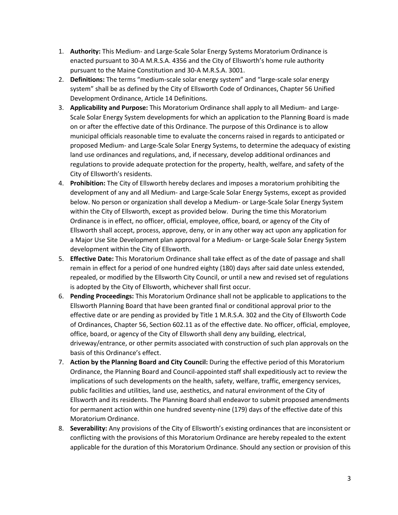- 1. **Authority:** This Medium- and Large-Scale Solar Energy Systems Moratorium Ordinance is enacted pursuant to 30-A M.R.S.A. 4356 and the City of Ellsworth's home rule authority pursuant to the Maine Constitution and 30-A M.R.S.A. 3001.
- 2. **Definitions:** The terms "medium-scale solar energy system" and "large-scale solar energy system" shall be as defined by the City of Ellsworth Code of Ordinances, Chapter 56 Unified Development Ordinance, Article 14 Definitions.
- 3. **Applicability and Purpose:** This Moratorium Ordinance shall apply to all Medium- and Large-Scale Solar Energy System developments for which an application to the Planning Board is made on or after the effective date of this Ordinance. The purpose of this Ordinance is to allow municipal officials reasonable time to evaluate the concerns raised in regards to anticipated or proposed Medium- and Large-Scale Solar Energy Systems, to determine the adequacy of existing land use ordinances and regulations, and, if necessary, develop additional ordinances and regulations to provide adequate protection for the property, health, welfare, and safety of the City of Ellsworth's residents.
- 4. **Prohibition:** The City of Ellsworth hereby declares and imposes a moratorium prohibiting the development of any and all Medium- and Large-Scale Solar Energy Systems, except as provided below. No person or organization shall develop a Medium- or Large-Scale Solar Energy System within the City of Ellsworth, except as provided below. During the time this Moratorium Ordinance is in effect, no officer, official, employee, office, board, or agency of the City of Ellsworth shall accept, process, approve, deny, or in any other way act upon any application for a Major Use Site Development plan approval for a Medium- or Large-Scale Solar Energy System development within the City of Ellsworth.
- 5. **Effective Date:** This Moratorium Ordinance shall take effect as of the date of passage and shall remain in effect for a period of one hundred eighty (180) days after said date unless extended, repealed, or modified by the Ellsworth City Council, or until a new and revised set of regulations is adopted by the City of Ellsworth, whichever shall first occur.
- 6. **Pending Proceedings:** This Moratorium Ordinance shall not be applicable to applications to the Ellsworth Planning Board that have been granted final or conditional approval prior to the effective date or are pending as provided by Title 1 M.R.S.A. 302 and the City of Ellsworth Code of Ordinances, Chapter 56, Section 602.11 as of the effective date. No officer, official, employee, office, board, or agency of the City of Ellsworth shall deny any building, electrical, driveway/entrance, or other permits associated with construction of such plan approvals on the basis of this Ordinance's effect.
- 7. **Action by the Planning Board and City Council:** During the effective period of this Moratorium Ordinance, the Planning Board and Council-appointed staff shall expeditiously act to review the implications of such developments on the health, safety, welfare, traffic, emergency services, public facilities and utilities, land use, aesthetics, and natural environment of the City of Ellsworth and its residents. The Planning Board shall endeavor to submit proposed amendments for permanent action within one hundred seventy-nine (179) days of the effective date of this Moratorium Ordinance.
- 8. **Severability:** Any provisions of the City of Ellsworth's existing ordinances that are inconsistent or conflicting with the provisions of this Moratorium Ordinance are hereby repealed to the extent applicable for the duration of this Moratorium Ordinance. Should any section or provision of this